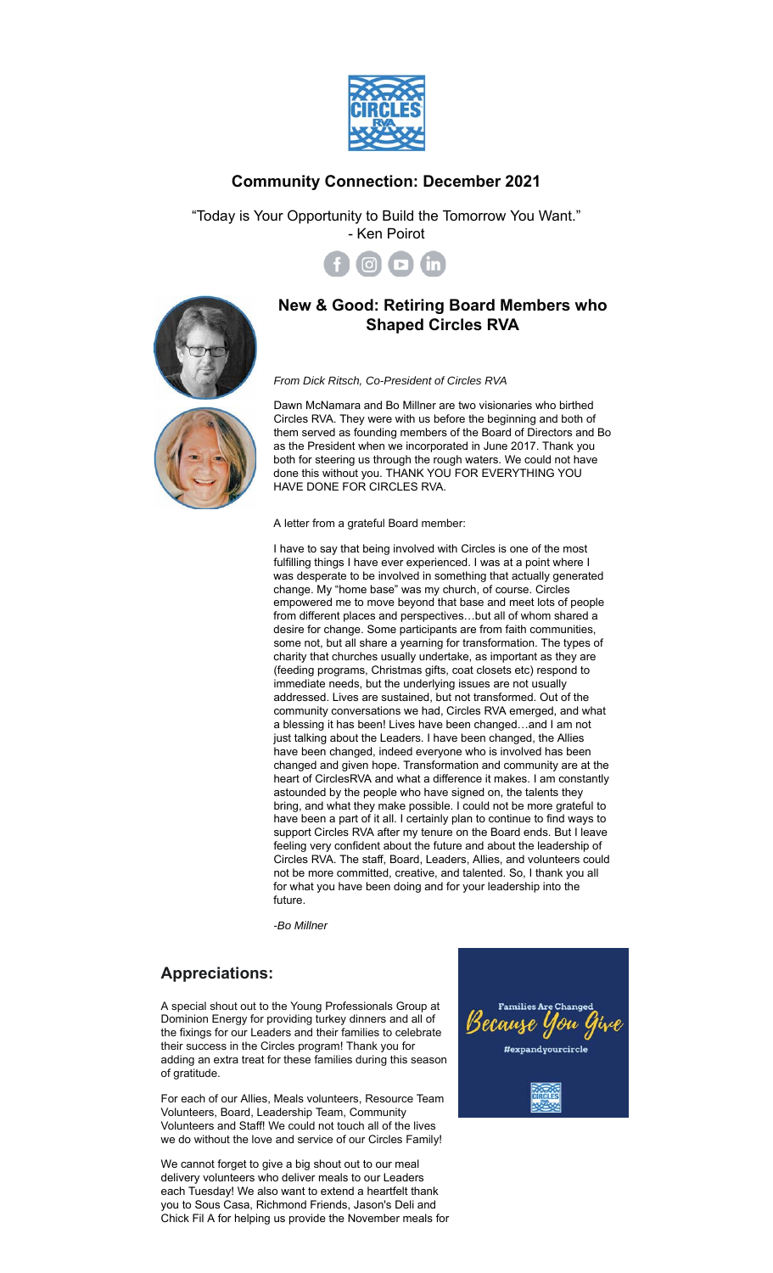

## **Community Connection: December 2021**

"Today is Your Opportunity to Build the Tomorrow You Want." - Ken Poirot



## **New & Good: Retiring Board Members who Shaped Circles RVA**



Dawn McNamara and Bo Millner are two visionaries who birthed Circles RVA. They were with us before the beginning and both of them served as founding members of the Board of Directors and Bo as the President when we incorporated in June 2017. Thank you both for steering us through the rough waters. We could not have done this without you. THANK YOU FOR EVERYTHING YOU HAVE DONE FOR CIRCLES RVA.

A letter from a grateful Board member:

I have to say that being involved with Circles is one of the most fulfilling things I have ever experienced. I was at a point where I was desperate to be involved in something that actually generated change. My "home base" was my church, of course. Circles empowered me to move beyond that base and meet lots of people from different places and perspectives…but all of whom shared a desire for change. Some participants are from faith communities, some not, but all share a yearning for transformation. The types of charity that churches usually undertake, as important as they are (feeding programs, Christmas gifts, coat closets etc) respond to immediate needs, but the underlying issues are not usually addressed. Lives are sustained, but not transformed. Out of the community conversations we had, Circles RVA emerged, and what a blessing it has been! Lives have been changed…and I am not just talking about the Leaders. I have been changed, the Allies have been changed, indeed everyone who is involved has been changed and given hope. Transformation and community are at the heart of CirclesRVA and what a difference it makes. I am constantly astounded by the people who have signed on, the talents they bring, and what they make possible. I could not be more grateful to have been a part of it all. I certainly plan to continue to find ways to support Circles RVA after my tenure on the Board ends. But I leave feeling very confident about the future and about the leadership of Circles RVA. The staff, Board, Leaders, Allies, and volunteers could not be more committed, creative, and talented. So, I thank you all for what you have been doing and for your leadership into the future.

*-Bo Millner*

## **Appreciations:**

A special shout out to the Young Professionals Group at Dominion Energy for providing turkey dinners and all of the fixings for our Leaders and their families to celebrate their success in the Circles program! Thank you for adding an extra treat for these families during this season of gratitude.

For each of our Allies, Meals volunteers, Resource Team Volunteers, Board, Leadership Team, Community Volunteers and Staff! We could not touch all of the lives we do without the love and service of our Circles Family!

We cannot forget to give a big shout out to our meal delivery volunteers who deliver meals to our Leaders each Tuesday! We also want to extend a heartfelt thank you to Sous Casa, Richmond Friends, Jason's Deli and Chick Fil A for helping us provide the November meals for

**Families Are Change** Because You t #expandyourcircle